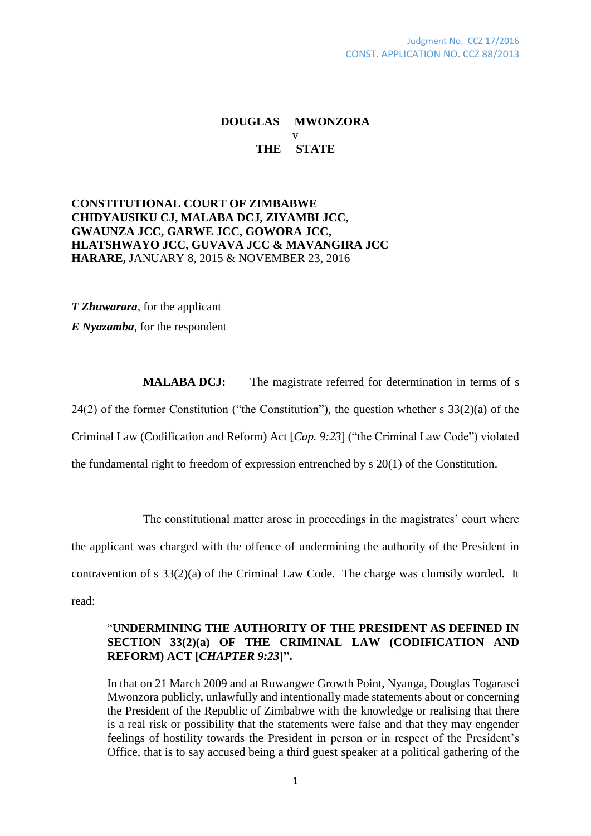# **DOUGLAS MWONZORA** v **THE STATE**

### **CONSTITUTIONAL COURT OF ZIMBABWE CHIDYAUSIKU CJ, MALABA DCJ, ZIYAMBI JCC, GWAUNZA JCC, GARWE JCC, GOWORA JCC, HLATSHWAYO JCC, GUVAVA JCC & MAVANGIRA JCC HARARE,** JANUARY 8, 2015 & NOVEMBER 23, 2016

*T Zhuwarara*, for the applicant *E Nyazamba*, for the respondent

**MALABA DCJ:** The magistrate referred for determination in terms of s 24(2) of the former Constitution ("the Constitution"), the question whether s  $33(2)(a)$  of the Criminal Law (Codification and Reform) Act [*Cap. 9:23*] ("the Criminal Law Code") violated the fundamental right to freedom of expression entrenched by s 20(1) of the Constitution.

The constitutional matter arose in proceedings in the magistrates' court where

the applicant was charged with the offence of undermining the authority of the President in

contravention of s 33(2)(a) of the Criminal Law Code. The charge was clumsily worded. It

read:

#### "**UNDERMINING THE AUTHORITY OF THE PRESIDENT AS DEFINED IN SECTION 33(2)(a) OF THE CRIMINAL LAW (CODIFICATION AND REFORM) ACT [***CHAPTER 9:23***]".**

In that on 21 March 2009 and at Ruwangwe Growth Point, Nyanga, Douglas Togarasei Mwonzora publicly, unlawfully and intentionally made statements about or concerning the President of the Republic of Zimbabwe with the knowledge or realising that there is a real risk or possibility that the statements were false and that they may engender feelings of hostility towards the President in person or in respect of the President's Office, that is to say accused being a third guest speaker at a political gathering of the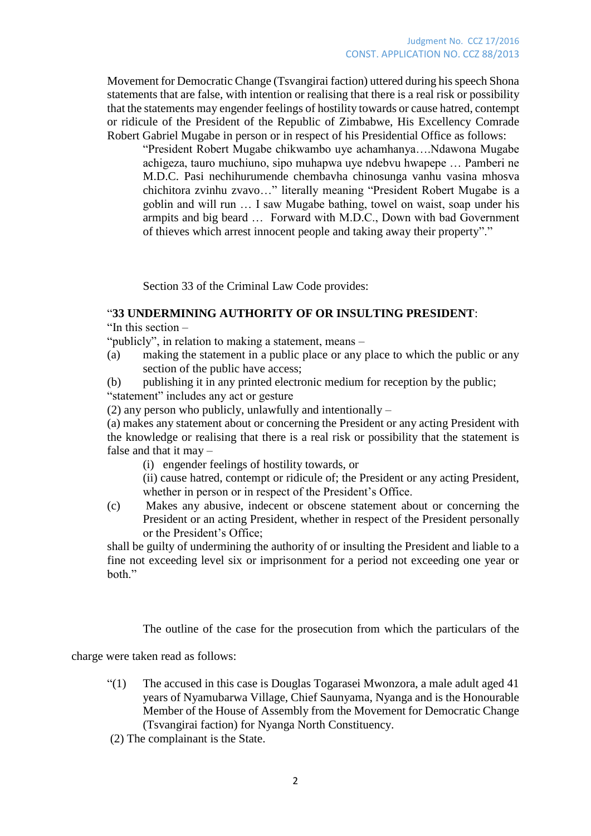Movement for Democratic Change (Tsvangirai faction) uttered during his speech Shona statements that are false, with intention or realising that there is a real risk or possibility that the statements may engender feelings of hostility towards or cause hatred, contempt or ridicule of the President of the Republic of Zimbabwe, His Excellency Comrade Robert Gabriel Mugabe in person or in respect of his Presidential Office as follows:

"President Robert Mugabe chikwambo uye achamhanya….Ndawona Mugabe achigeza, tauro muchiuno, sipo muhapwa uye ndebvu hwapepe … Pamberi ne M.D.C. Pasi nechihurumende chembavha chinosunga vanhu vasina mhosva chichitora zvinhu zvavo…" literally meaning "President Robert Mugabe is a goblin and will run … I saw Mugabe bathing, towel on waist, soap under his armpits and big beard … Forward with M.D.C., Down with bad Government of thieves which arrest innocent people and taking away their property"."

Section 33 of the Criminal Law Code provides:

# "**33 UNDERMINING AUTHORITY OF OR INSULTING PRESIDENT**:

"In this section –

"publicly", in relation to making a statement, means –

- (a) making the statement in a public place or any place to which the public or any section of the public have access;
- (b) publishing it in any printed electronic medium for reception by the public; "statement" includes any act or gesture

(2) any person who publicly, unlawfully and intentionally –

(a) makes any statement about or concerning the President or any acting President with the knowledge or realising that there is a real risk or possibility that the statement is false and that it may –

- (i) engender feelings of hostility towards, or
- (ii) cause hatred, contempt or ridicule of; the President or any acting President, whether in person or in respect of the President's Office.
- (c) Makes any abusive, indecent or obscene statement about or concerning the President or an acting President, whether in respect of the President personally or the President's Office;

shall be guilty of undermining the authority of or insulting the President and liable to a fine not exceeding level six or imprisonment for a period not exceeding one year or hoth"

The outline of the case for the prosecution from which the particulars of the

charge were taken read as follows:

- "(1) The accused in this case is Douglas Togarasei Mwonzora, a male adult aged 41 years of Nyamubarwa Village, Chief Saunyama, Nyanga and is the Honourable Member of the House of Assembly from the Movement for Democratic Change (Tsvangirai faction) for Nyanga North Constituency.
- (2) The complainant is the State.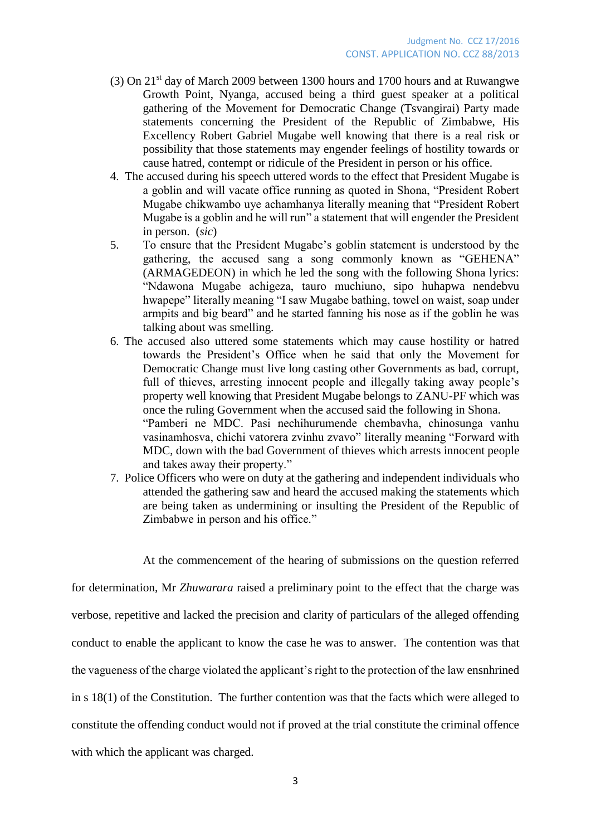- (3) On 21st day of March 2009 between 1300 hours and 1700 hours and at Ruwangwe Growth Point, Nyanga, accused being a third guest speaker at a political gathering of the Movement for Democratic Change (Tsvangirai) Party made statements concerning the President of the Republic of Zimbabwe, His Excellency Robert Gabriel Mugabe well knowing that there is a real risk or possibility that those statements may engender feelings of hostility towards or cause hatred, contempt or ridicule of the President in person or his office.
- 4. The accused during his speech uttered words to the effect that President Mugabe is a goblin and will vacate office running as quoted in Shona, "President Robert Mugabe chikwambo uye achamhanya literally meaning that "President Robert Mugabe is a goblin and he will run" a statement that will engender the President in person. (*sic*)
- 5. To ensure that the President Mugabe's goblin statement is understood by the gathering, the accused sang a song commonly known as "GEHENA" (ARMAGEDEON) in which he led the song with the following Shona lyrics: "Ndawona Mugabe achigeza, tauro muchiuno, sipo huhapwa nendebvu hwapepe" literally meaning "I saw Mugabe bathing, towel on waist, soap under armpits and big beard" and he started fanning his nose as if the goblin he was talking about was smelling.
- 6. The accused also uttered some statements which may cause hostility or hatred towards the President's Office when he said that only the Movement for Democratic Change must live long casting other Governments as bad, corrupt, full of thieves, arresting innocent people and illegally taking away people's property well knowing that President Mugabe belongs to ZANU-PF which was once the ruling Government when the accused said the following in Shona. "Pamberi ne MDC. Pasi nechihurumende chembavha, chinosunga vanhu vasinamhosva, chichi vatorera zvinhu zvavo" literally meaning "Forward with MDC, down with the bad Government of thieves which arrests innocent people and takes away their property."
- 7. Police Officers who were on duty at the gathering and independent individuals who attended the gathering saw and heard the accused making the statements which are being taken as undermining or insulting the President of the Republic of Zimbabwe in person and his office."

At the commencement of the hearing of submissions on the question referred

for determination, Mr *Zhuwarara* raised a preliminary point to the effect that the charge was verbose, repetitive and lacked the precision and clarity of particulars of the alleged offending conduct to enable the applicant to know the case he was to answer. The contention was that the vagueness of the charge violated the applicant's right to the protection of the law ensnhrined in s 18(1) of the Constitution. The further contention was that the facts which were alleged to constitute the offending conduct would not if proved at the trial constitute the criminal offence with which the applicant was charged.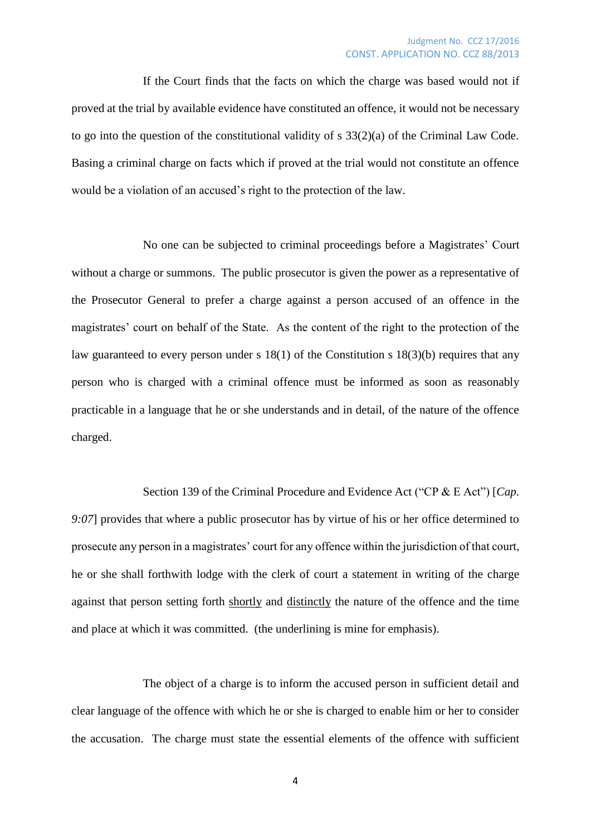If the Court finds that the facts on which the charge was based would not if proved at the trial by available evidence have constituted an offence, it would not be necessary to go into the question of the constitutional validity of s 33(2)(a) of the Criminal Law Code. Basing a criminal charge on facts which if proved at the trial would not constitute an offence would be a violation of an accused's right to the protection of the law.

No one can be subjected to criminal proceedings before a Magistrates' Court without a charge or summons. The public prosecutor is given the power as a representative of the Prosecutor General to prefer a charge against a person accused of an offence in the magistrates' court on behalf of the State. As the content of the right to the protection of the law guaranteed to every person under s 18(1) of the Constitution s 18(3)(b) requires that any person who is charged with a criminal offence must be informed as soon as reasonably practicable in a language that he or she understands and in detail, of the nature of the offence charged.

Section 139 of the Criminal Procedure and Evidence Act ("CP & E Act") [*Cap. 9:07*] provides that where a public prosecutor has by virtue of his or her office determined to prosecute any person in a magistrates' court for any offence within the jurisdiction of that court, he or she shall forthwith lodge with the clerk of court a statement in writing of the charge against that person setting forth shortly and distinctly the nature of the offence and the time and place at which it was committed. (the underlining is mine for emphasis).

The object of a charge is to inform the accused person in sufficient detail and clear language of the offence with which he or she is charged to enable him or her to consider the accusation. The charge must state the essential elements of the offence with sufficient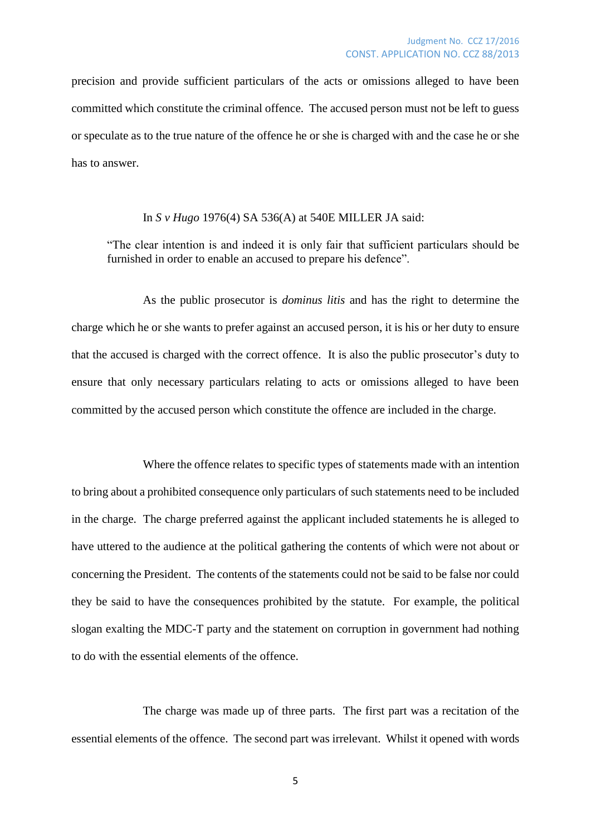precision and provide sufficient particulars of the acts or omissions alleged to have been committed which constitute the criminal offence. The accused person must not be left to guess or speculate as to the true nature of the offence he or she is charged with and the case he or she has to answer.

#### In *S v Hugo* 1976(4) SA 536(A) at 540E MILLER JA said:

"The clear intention is and indeed it is only fair that sufficient particulars should be furnished in order to enable an accused to prepare his defence".

As the public prosecutor is *dominus litis* and has the right to determine the charge which he or she wants to prefer against an accused person, it is his or her duty to ensure that the accused is charged with the correct offence. It is also the public prosecutor's duty to ensure that only necessary particulars relating to acts or omissions alleged to have been committed by the accused person which constitute the offence are included in the charge.

Where the offence relates to specific types of statements made with an intention to bring about a prohibited consequence only particulars of such statements need to be included in the charge. The charge preferred against the applicant included statements he is alleged to have uttered to the audience at the political gathering the contents of which were not about or concerning the President. The contents of the statements could not be said to be false nor could they be said to have the consequences prohibited by the statute. For example, the political slogan exalting the MDC-T party and the statement on corruption in government had nothing to do with the essential elements of the offence.

The charge was made up of three parts. The first part was a recitation of the essential elements of the offence. The second part was irrelevant. Whilst it opened with words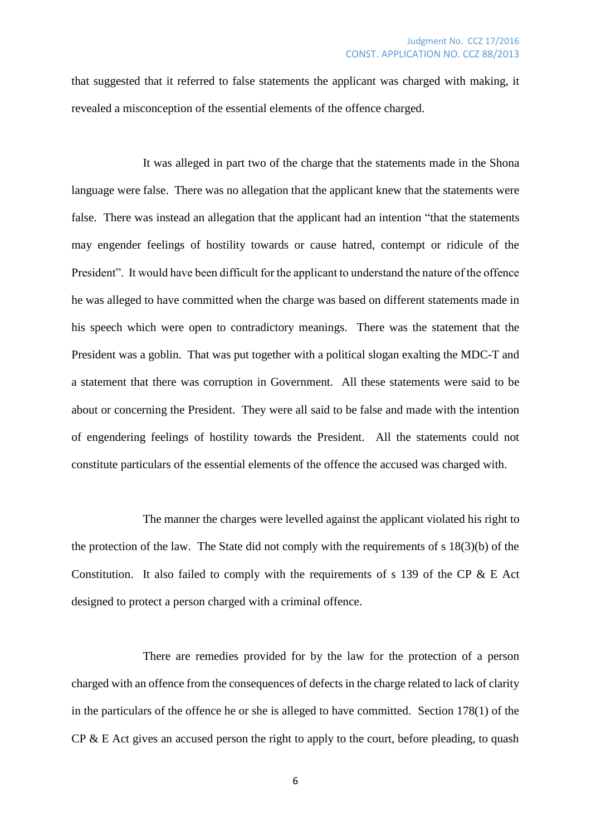that suggested that it referred to false statements the applicant was charged with making, it revealed a misconception of the essential elements of the offence charged.

It was alleged in part two of the charge that the statements made in the Shona language were false. There was no allegation that the applicant knew that the statements were false. There was instead an allegation that the applicant had an intention "that the statements may engender feelings of hostility towards or cause hatred, contempt or ridicule of the President". It would have been difficult for the applicant to understand the nature of the offence he was alleged to have committed when the charge was based on different statements made in his speech which were open to contradictory meanings. There was the statement that the President was a goblin. That was put together with a political slogan exalting the MDC-T and a statement that there was corruption in Government. All these statements were said to be about or concerning the President. They were all said to be false and made with the intention of engendering feelings of hostility towards the President. All the statements could not constitute particulars of the essential elements of the offence the accused was charged with.

The manner the charges were levelled against the applicant violated his right to the protection of the law. The State did not comply with the requirements of s 18(3)(b) of the Constitution. It also failed to comply with the requirements of s 139 of the CP  $\&$  E Act designed to protect a person charged with a criminal offence.

There are remedies provided for by the law for the protection of a person charged with an offence from the consequences of defects in the charge related to lack of clarity in the particulars of the offence he or she is alleged to have committed. Section 178(1) of the  $CP \& E$  Act gives an accused person the right to apply to the court, before pleading, to quash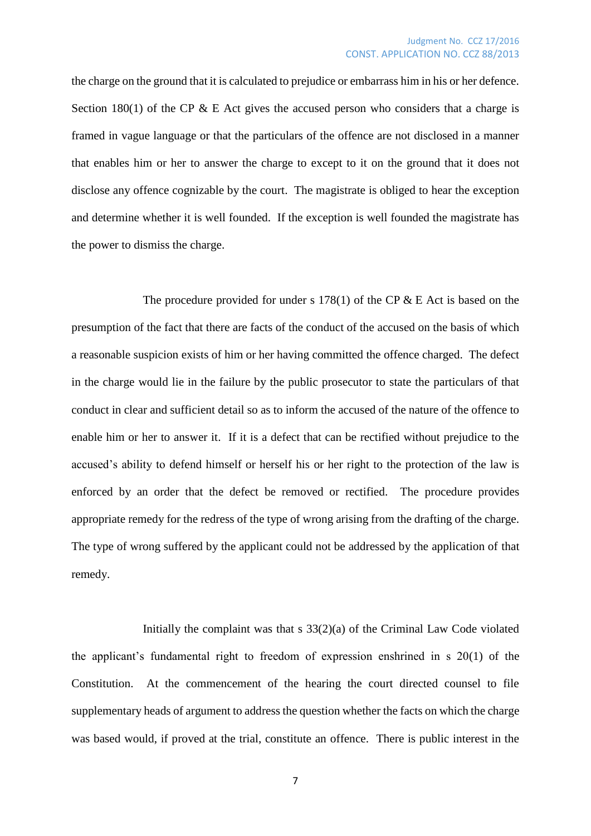the charge on the ground that it is calculated to prejudice or embarrass him in his or her defence. Section 180(1) of the CP  $&$  E Act gives the accused person who considers that a charge is framed in vague language or that the particulars of the offence are not disclosed in a manner that enables him or her to answer the charge to except to it on the ground that it does not disclose any offence cognizable by the court. The magistrate is obliged to hear the exception and determine whether it is well founded. If the exception is well founded the magistrate has the power to dismiss the charge.

The procedure provided for under s 178(1) of the CP  $\&$  E Act is based on the presumption of the fact that there are facts of the conduct of the accused on the basis of which a reasonable suspicion exists of him or her having committed the offence charged. The defect in the charge would lie in the failure by the public prosecutor to state the particulars of that conduct in clear and sufficient detail so as to inform the accused of the nature of the offence to enable him or her to answer it. If it is a defect that can be rectified without prejudice to the accused's ability to defend himself or herself his or her right to the protection of the law is enforced by an order that the defect be removed or rectified. The procedure provides appropriate remedy for the redress of the type of wrong arising from the drafting of the charge. The type of wrong suffered by the applicant could not be addressed by the application of that remedy.

Initially the complaint was that s 33(2)(a) of the Criminal Law Code violated the applicant's fundamental right to freedom of expression enshrined in s 20(1) of the Constitution. At the commencement of the hearing the court directed counsel to file supplementary heads of argument to address the question whether the facts on which the charge was based would, if proved at the trial, constitute an offence. There is public interest in the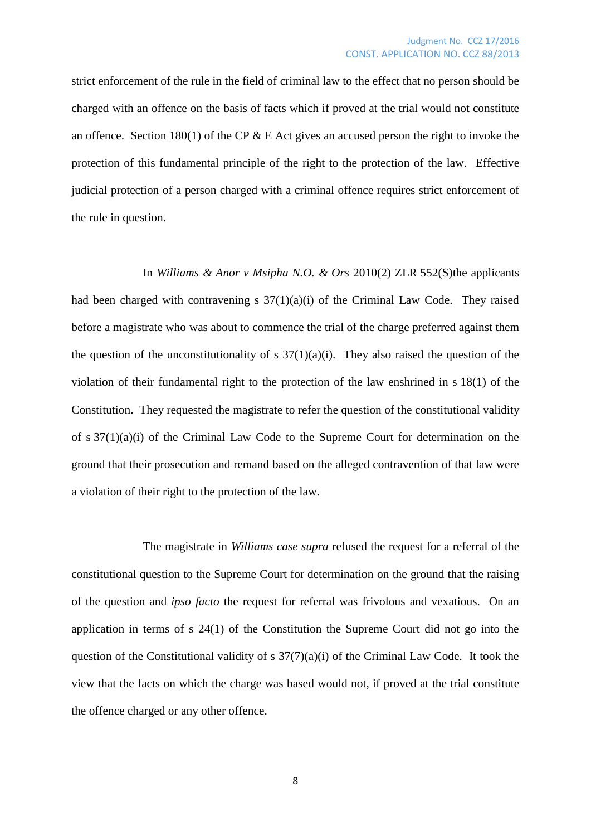strict enforcement of the rule in the field of criminal law to the effect that no person should be charged with an offence on the basis of facts which if proved at the trial would not constitute an offence. Section 180(1) of the CP  $&$  E Act gives an accused person the right to invoke the protection of this fundamental principle of the right to the protection of the law. Effective judicial protection of a person charged with a criminal offence requires strict enforcement of the rule in question.

In *Williams & Anor v Msipha N.O. & Ors* 2010(2) ZLR 552(S)the applicants had been charged with contravening s 37(1)(a)(i) of the Criminal Law Code. They raised before a magistrate who was about to commence the trial of the charge preferred against them the question of the unconstitutionality of s  $37(1)(a)(i)$ . They also raised the question of the violation of their fundamental right to the protection of the law enshrined in s 18(1) of the Constitution. They requested the magistrate to refer the question of the constitutional validity of s 37(1)(a)(i) of the Criminal Law Code to the Supreme Court for determination on the ground that their prosecution and remand based on the alleged contravention of that law were a violation of their right to the protection of the law.

The magistrate in *Williams case supra* refused the request for a referral of the constitutional question to the Supreme Court for determination on the ground that the raising of the question and *ipso facto* the request for referral was frivolous and vexatious. On an application in terms of s 24(1) of the Constitution the Supreme Court did not go into the question of the Constitutional validity of s  $37(7)(a)(i)$  of the Criminal Law Code. It took the view that the facts on which the charge was based would not, if proved at the trial constitute the offence charged or any other offence.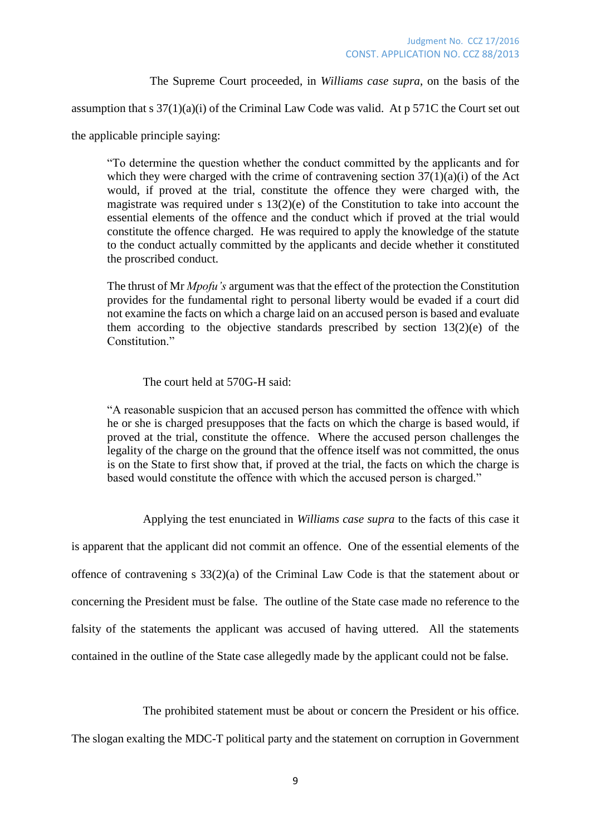The Supreme Court proceeded, in *Williams case supra*, on the basis of the

assumption that s  $37(1)(a)(i)$  of the Criminal Law Code was valid. At p 571C the Court set out

the applicable principle saying:

"To determine the question whether the conduct committed by the applicants and for which they were charged with the crime of contravening section  $37(1)(a)(i)$  of the Act would, if proved at the trial, constitute the offence they were charged with, the magistrate was required under s 13(2)(e) of the Constitution to take into account the essential elements of the offence and the conduct which if proved at the trial would constitute the offence charged. He was required to apply the knowledge of the statute to the conduct actually committed by the applicants and decide whether it constituted the proscribed conduct.

The thrust of Mr *Mpofu's* argument was that the effect of the protection the Constitution provides for the fundamental right to personal liberty would be evaded if a court did not examine the facts on which a charge laid on an accused person is based and evaluate them according to the objective standards prescribed by section  $13(2)(e)$  of the Constitution."

The court held at 570G-H said:

"A reasonable suspicion that an accused person has committed the offence with which he or she is charged presupposes that the facts on which the charge is based would, if proved at the trial, constitute the offence. Where the accused person challenges the legality of the charge on the ground that the offence itself was not committed, the onus is on the State to first show that, if proved at the trial, the facts on which the charge is based would constitute the offence with which the accused person is charged."

Applying the test enunciated in *Williams case supra* to the facts of this case it

is apparent that the applicant did not commit an offence. One of the essential elements of the offence of contravening  $s$  33(2)(a) of the Criminal Law Code is that the statement about or concerning the President must be false. The outline of the State case made no reference to the falsity of the statements the applicant was accused of having uttered. All the statements contained in the outline of the State case allegedly made by the applicant could not be false.

The prohibited statement must be about or concern the President or his office.

The slogan exalting the MDC-T political party and the statement on corruption in Government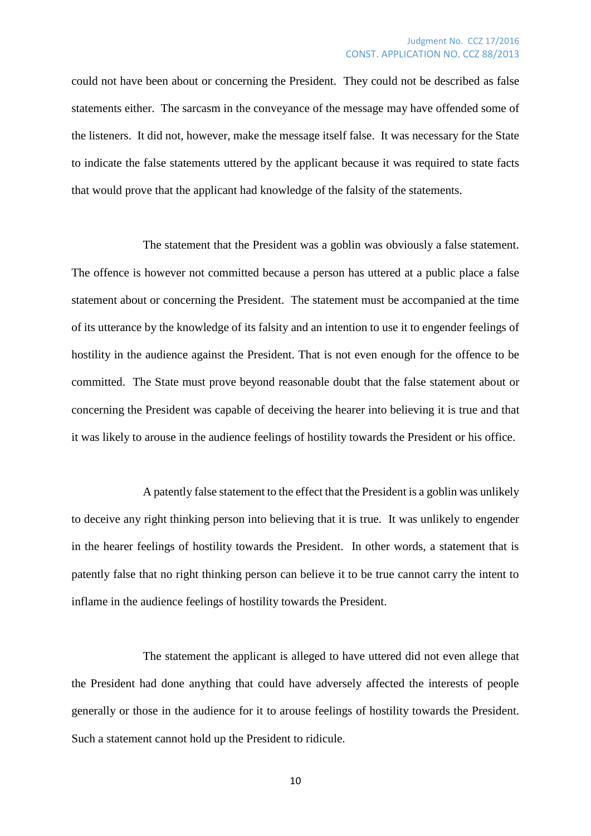could not have been about or concerning the President. They could not be described as false statements either. The sarcasm in the conveyance of the message may have offended some of the listeners. It did not, however, make the message itself false. It was necessary for the State to indicate the false statements uttered by the applicant because it was required to state facts that would prove that the applicant had knowledge of the falsity of the statements.

The statement that the President was a goblin was obviously a false statement. The offence is however not committed because a person has uttered at a public place a false statement about or concerning the President. The statement must be accompanied at the time of its utterance by the knowledge of its falsity and an intention to use it to engender feelings of hostility in the audience against the President. That is not even enough for the offence to be committed. The State must prove beyond reasonable doubt that the false statement about or concerning the President was capable of deceiving the hearer into believing it is true and that it was likely to arouse in the audience feelings of hostility towards the President or his office.

A patently false statement to the effect that the President is a goblin was unlikely to deceive any right thinking person into believing that it is true. It was unlikely to engender in the hearer feelings of hostility towards the President. In other words, a statement that is patently false that no right thinking person can believe it to be true cannot carry the intent to inflame in the audience feelings of hostility towards the President.

The statement the applicant is alleged to have uttered did not even allege that the President had done anything that could have adversely affected the interests of people generally or those in the audience for it to arouse feelings of hostility towards the President. Such a statement cannot hold up the President to ridicule.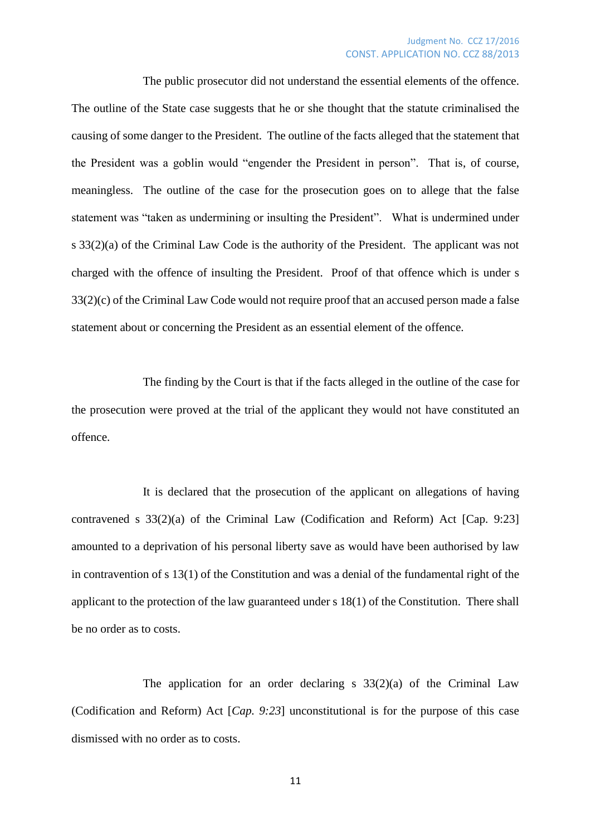#### Judgment No. CCZ 17/2016 CONST. APPLICATION NO. CCZ 88/2013

The public prosecutor did not understand the essential elements of the offence. The outline of the State case suggests that he or she thought that the statute criminalised the causing of some danger to the President. The outline of the facts alleged that the statement that the President was a goblin would "engender the President in person". That is, of course, meaningless. The outline of the case for the prosecution goes on to allege that the false statement was "taken as undermining or insulting the President". What is undermined under s 33(2)(a) of the Criminal Law Code is the authority of the President. The applicant was not charged with the offence of insulting the President. Proof of that offence which is under s 33(2)(c) of the Criminal Law Code would not require proof that an accused person made a false statement about or concerning the President as an essential element of the offence.

The finding by the Court is that if the facts alleged in the outline of the case for the prosecution were proved at the trial of the applicant they would not have constituted an offence.

It is declared that the prosecution of the applicant on allegations of having contravened s 33(2)(a) of the Criminal Law (Codification and Reform) Act [Cap. 9:23] amounted to a deprivation of his personal liberty save as would have been authorised by law in contravention of s 13(1) of the Constitution and was a denial of the fundamental right of the applicant to the protection of the law guaranteed under s 18(1) of the Constitution. There shall be no order as to costs.

The application for an order declaring  $s$  33(2)(a) of the Criminal Law (Codification and Reform) Act [*Cap. 9:23*] unconstitutional is for the purpose of this case dismissed with no order as to costs.